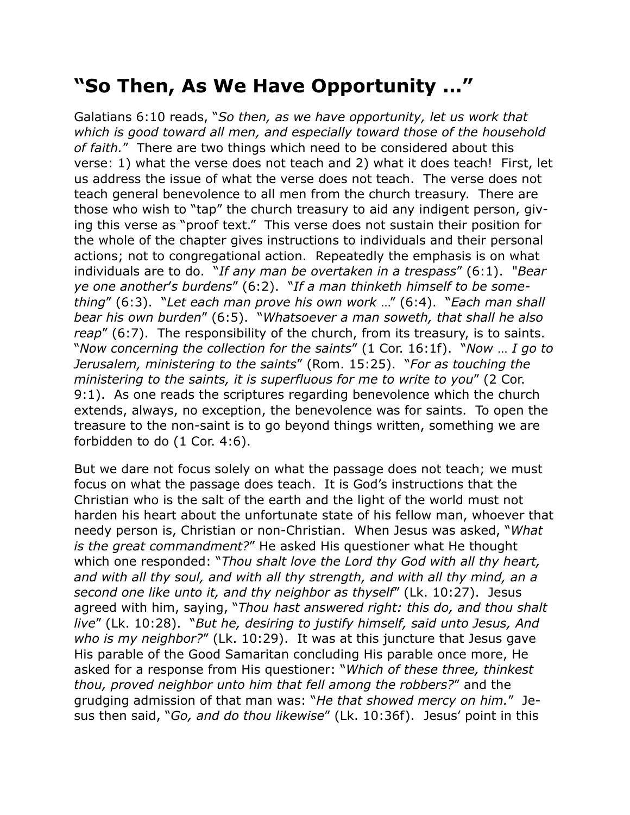## **"So Then, As We Have Opportunity …"**

Galatians 6:10 reads, "*So then, as we have opportunity, let us work that which is good toward all men, and especially toward those of the household of faith.*" There are two things which need to be considered about this verse: 1) what the verse does not teach and 2) what it does teach! First, let us address the issue of what the verse does not teach. The verse does not teach general benevolence to all men from the church treasury. There are those who wish to "tap" the church treasury to aid any indigent person, giving this verse as "proof text." This verse does not sustain their position for the whole of the chapter gives instructions to individuals and their personal actions; not to congregational action. Repeatedly the emphasis is on what individuals are to do. "*If any man be overtaken in a trespass*" (6:1). "*Bear ye one another*'*s burdens*" (6:2). "*If a man thinketh himself to be something*" (6:3). "*Let each man prove his own work* …" (6:4). "*Each man shall bear his own burden*" (6:5). "*Whatsoever a man soweth, that shall he also reap*" (6:7). The responsibility of the church, from its treasury, is to saints. "*Now concerning the collection for the saints*" (1 Cor. 16:1f). "*Now* … *I go to Jerusalem, ministering to the saints*" (Rom. 15:25). "*For as touching the ministering to the saints, it is superfluous for me to write to you*" (2 Cor. 9:1). As one reads the scriptures regarding benevolence which the church extends, always, no exception, the benevolence was for saints. To open the treasure to the non-saint is to go beyond things written, something we are forbidden to do (1 Cor. 4:6).

But we dare not focus solely on what the passage does not teach; we must focus on what the passage does teach. It is God's instructions that the Christian who is the salt of the earth and the light of the world must not harden his heart about the unfortunate state of his fellow man, whoever that needy person is, Christian or non-Christian. When Jesus was asked, "*What is the great commandment?*" He asked His questioner what He thought which one responded: "*Thou shalt love the Lord thy God with all thy heart,*  and with all thy soul, and with all thy strength, and with all thy mind, an a *second one like unto it, and thy neighbor as thyself*" (Lk. 10:27). Jesus agreed with him, saying, "*Thou hast answered right: this do, and thou shalt live*" (Lk. 10:28). "*But he, desiring to justify himself, said unto Jesus, And who is my neighbor?*" (Lk. 10:29). It was at this juncture that Jesus gave His parable of the Good Samaritan concluding His parable once more, He asked for a response from His questioner: "*Which of these three, thinkest thou, proved neighbor unto him that fell among the robbers?*" and the grudging admission of that man was: "*He that showed mercy on him.*" Jesus then said, "*Go, and do thou likewise*" (Lk. 10:36f). Jesus' point in this